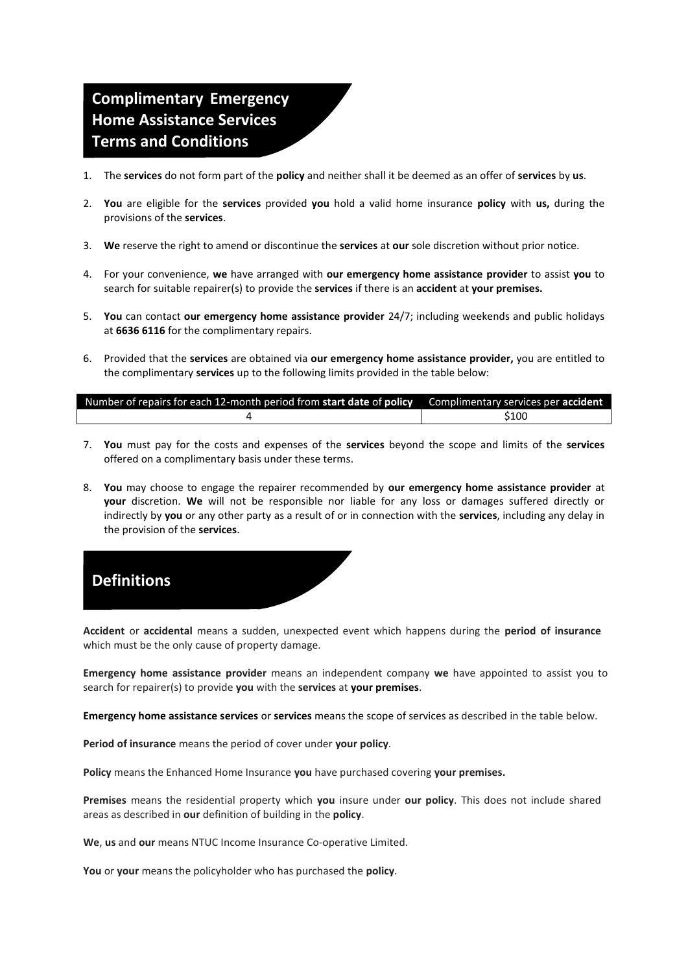## **Complimentary Emergency Home Assistance Services Terms and Conditions**

- 1. The **services** do not form part of the **policy** and neither shall it be deemed as an offer of **services** by **us**.
- 2. **You** are eligible for the **services** provided **you** hold a valid home insurance **policy** with **us,** during the provisions of the **services**.
- 3. **We** reserve the right to amend or discontinue the **services** at **our** sole discretion without prior notice.
- 4. For your convenience, **we** have arranged with **our emergency home assistance provider** to assist **you** to search for suitable repairer(s) to provide the **services** if there is an **accident** at **your premises.**
- 5. **You** can contact **our emergency home assistance provider** 24/7; including weekends and public holidays at **6636 6116** for the complimentary repairs.
- 6. Provided that the **services** are obtained via **our emergency home assistance provider,** you are entitled to the complimentary **services** up to the following limits provided in the table below:

| Number of repairs for each 12-month period from start date of policy | Complimentary services per <b>accident</b> |
|----------------------------------------------------------------------|--------------------------------------------|
|                                                                      | \$100                                      |

- 7. **You** must pay for the costs and expenses of the **services** beyond the scope and limits of the **services**  offered on a complimentary basis under these terms.
- 8. **You** may choose to engage the repairer recommended by **our emergency home assistance provider** at **your** discretion. **We** will not be responsible nor liable for any loss or damages suffered directly or indirectly by **you** or any other party as a result of or in connection with the **services**, including any delay in the provision of the **services**.



**Accident** or **accidental** means a sudden, unexpected event which happens during the **period of insurance**  which must be the only cause of property damage.

**Emergency home assistance provider** means an independent company **we** have appointed to assist you to search for repairer(s) to provide **you** with the **services** at **your premises**.

**Emergency home assistance services** or **services** means the scope of services as described in the table below.

**Period of insurance** means the period of cover under **your policy**.

**Policy** means the Enhanced Home Insurance **you** have purchased covering **your premises.**

**Premises** means the residential property which **you** insure under **our policy**. This does not include shared areas as described in **our** definition of building in the **policy**.

**We**, **us** and **our** means NTUC Income Insurance Co-operative Limited.

**You** or **your** means the policyholder who has purchased the **policy**.